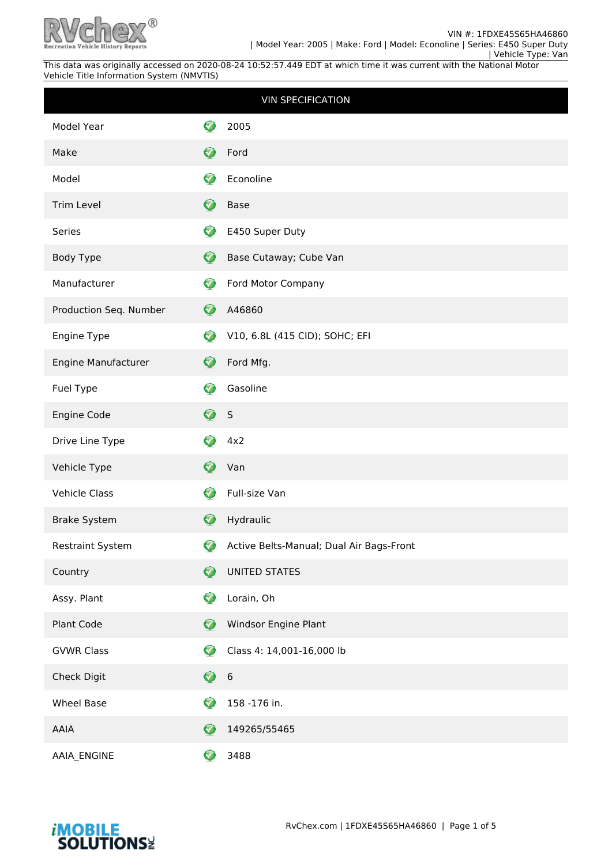

|                        |                      | <b>VIN SPECIFICATION</b>                 |
|------------------------|----------------------|------------------------------------------|
| Model Year             |                      | 2005                                     |
| Make                   | Ø                    | Ford                                     |
| Model                  | <mark>√</mark>       | Econoline                                |
| Trim Level             | 0                    | <b>Base</b>                              |
| Series                 | ♡                    | E450 Super Duty                          |
| Body Type              | $\bullet$            | Base Cutaway; Cube Van                   |
| Manufacturer           | ❤                    | Ford Motor Company                       |
| Production Seq. Number | $\bullet$            | A46860                                   |
| Engine Type            | $\bullet$            | V10, 6.8L (415 CID); SOHC; EFI           |
| Engine Manufacturer    | Ø                    | Ford Mfg.                                |
| Fuel Type              | Ø                    | Gasoline                                 |
| Engine Code            | $\bullet$            | S                                        |
|                        |                      |                                          |
| Drive Line Type        | ♡                    | 4x2                                      |
| Vehicle Type           | Ø                    | Van                                      |
| <b>Vehicle Class</b>   | Ø                    | Full-size Van                            |
| <b>Brake System</b>    | $\bullet$            | Hydraulic                                |
| Restraint System       | ♡                    | Active Belts-Manual; Dual Air Bags-Front |
| Country                | $\blacktriangledown$ | <b>UNITED STATES</b>                     |
| Assy. Plant            | Ø                    | Lorain, Oh                               |
| Plant Code             | Ø                    | Windsor Engine Plant                     |
| <b>GVWR Class</b>      | Ø                    | Class 4: 14,001-16,000 lb                |
| Check Digit            | $\bullet$            | $\boldsymbol{6}$                         |
| <b>Wheel Base</b>      | K                    | 158 -176 in.                             |
| AAIA                   | $\blacktriangledown$ | 149265/55465                             |

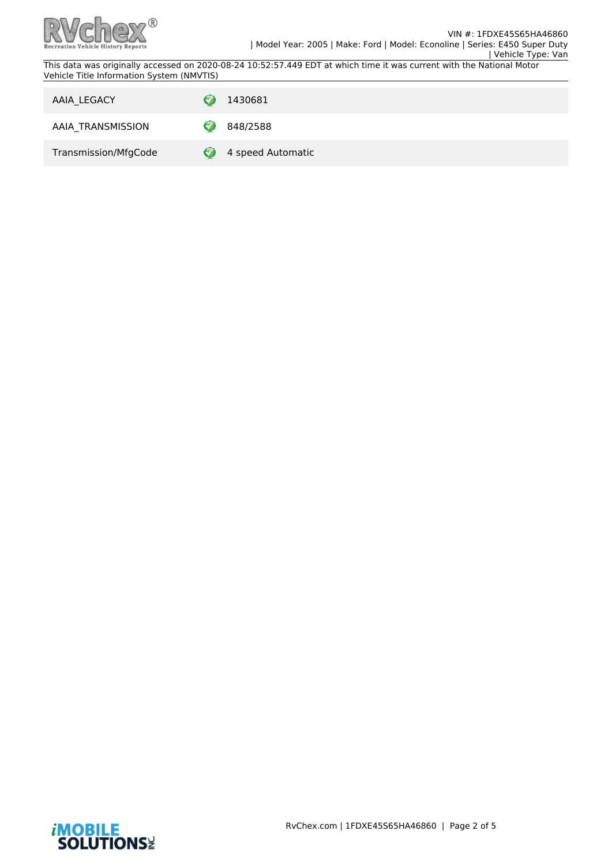

| AAIA_LEGACY          | 1430681           |
|----------------------|-------------------|
| AAIA_TRANSMISSION    | 848/2588          |
| Transmission/MfgCode | 4 speed Automatic |

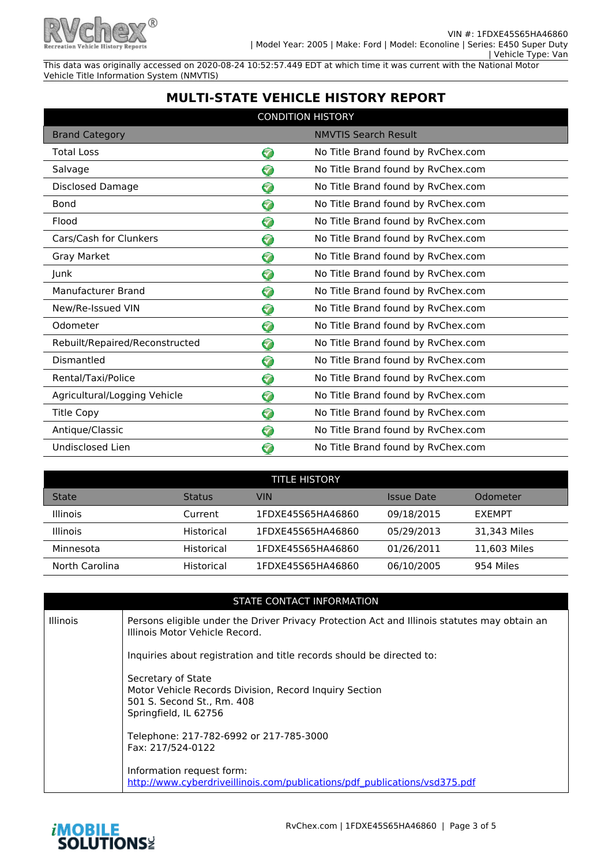

## **MULTI-STATE VEHICLE HISTORY REPORT**

| <b>CONDITION HISTORY</b>       |                      |                                    |  |
|--------------------------------|----------------------|------------------------------------|--|
| <b>Brand Category</b>          |                      | <b>NMVTIS Search Result</b>        |  |
| <b>Total Loss</b>              | ❤                    | No Title Brand found by RvChex.com |  |
| Salvage                        | <b>V</b>             | No Title Brand found by RvChex.com |  |
| Disclosed Damage               | 3                    | No Title Brand found by RvChex.com |  |
| Bond                           | 7                    | No Title Brand found by RvChex.com |  |
| Flood                          | ❤                    | No Title Brand found by RvChex.com |  |
| Cars/Cash for Clunkers         | ଚ                    | No Title Brand found by RvChex.com |  |
| Gray Market                    | ❤                    | No Title Brand found by RvChex.com |  |
| Junk                           | 0                    | No Title Brand found by RvChex.com |  |
| Manufacturer Brand             | ❤                    | No Title Brand found by RvChex.com |  |
| New/Re-Issued VIN              | 3                    | No Title Brand found by RvChex.com |  |
| Odometer                       | 7                    | No Title Brand found by RvChex.com |  |
| Rebuilt/Repaired/Reconstructed | 0                    | No Title Brand found by RvChex.com |  |
| Dismantled                     | ଚ                    | No Title Brand found by RvChex.com |  |
| Rental/Taxi/Police             | ❤                    | No Title Brand found by RvChex.com |  |
| Agricultural/Logging Vehicle   | 0                    | No Title Brand found by RvChex.com |  |
| <b>Title Copy</b>              | ❤                    | No Title Brand found by RvChex.com |  |
| Antique/Classic                | Ø                    | No Title Brand found by RvChex.com |  |
| Undisclosed Lien               | $\blacktriangledown$ | No Title Brand found by RvChex.com |  |

| <b>TITLE HISTORY</b> |               |                   |            |               |
|----------------------|---------------|-------------------|------------|---------------|
| <b>State</b>         | <b>Status</b> | VIN               | Issue Date | Odometer      |
| <b>Illinois</b>      | Current       | 1FDXE45S65HA46860 | 09/18/2015 | <b>FXFMPT</b> |
| <b>Illinois</b>      | Historical    | 1FDXE45S65HA46860 | 05/29/2013 | 31.343 Miles  |
| Minnesota            | Historical    | 1FDXE45S65HA46860 | 01/26/2011 | 11.603 Miles  |
| North Carolina       | Historical    | 1FDXE45S65HA46860 | 06/10/2005 | 954 Miles     |

|                 | STATE CONTACT INFORMATION                                                                                                           |
|-----------------|-------------------------------------------------------------------------------------------------------------------------------------|
| <b>Illinois</b> | Persons eligible under the Driver Privacy Protection Act and Illinois statutes may obtain an<br>Illinois Motor Vehicle Record.      |
|                 | Inquiries about registration and title records should be directed to:                                                               |
|                 | Secretary of State<br>Motor Vehicle Records Division, Record Inquiry Section<br>501 S. Second St., Rm. 408<br>Springfield, IL 62756 |
|                 | Telephone: 217-782-6992 or 217-785-3000<br>Fax: 217/524-0122                                                                        |
|                 | Information request form:<br>http://www.cyberdriveillinois.com/publications/pdf_publications/ysd375.pdf                             |

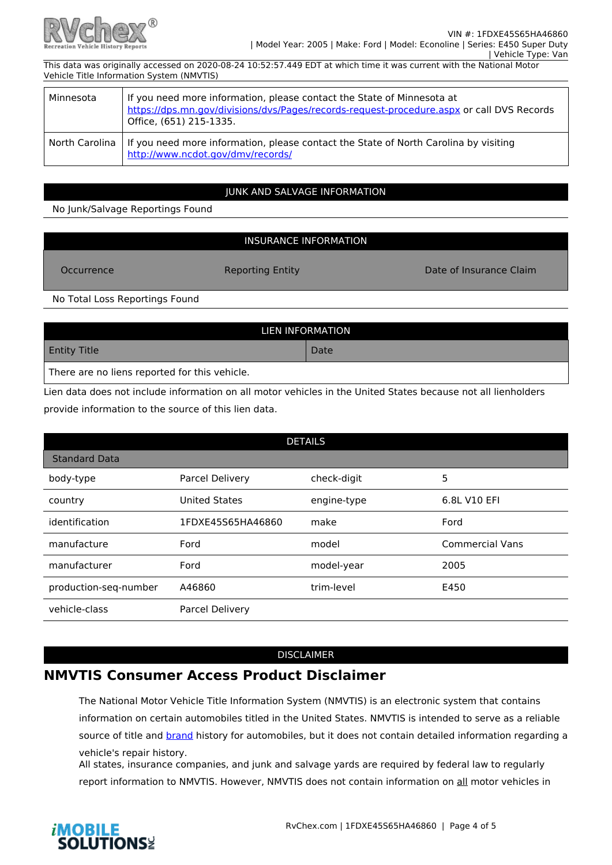

| Minnesota | If you need more information, please contact the State of Minnesota at<br>https://dps.mn.gov/divisions/dvs/Pages/records-request-procedure.aspx or call DVS Records<br>Office, (651) 215-1335. |
|-----------|------------------------------------------------------------------------------------------------------------------------------------------------------------------------------------------------|
|           | North Carolina   If you need more information, please contact the State of North Carolina by visiting<br>http://www.ncdot.gov/dmv/records/                                                     |

### JUNK AND SALVAGE INFORMATION

No Junk/Salvage Reportings Found

### INSURANCE INFORMATION

Occurrence **Reporting Entity Consumer Claim** Date of Insurance Claim

No Total Loss Reportings Found

| LIEN INFORMATION                              |      |  |  |
|-----------------------------------------------|------|--|--|
| <b>Entity Title</b>                           | Date |  |  |
| There are no liens reported for this vehicle. |      |  |  |

Lien data does not include information on all motor vehicles in the United States because not all lienholders provide information to the source of this lien data.

| <b>DETAILS</b>        |                      |             |                        |  |
|-----------------------|----------------------|-------------|------------------------|--|
| <b>Standard Data</b>  |                      |             |                        |  |
| body-type             | Parcel Delivery      | check-digit | 5                      |  |
| country               | <b>United States</b> | engine-type | 6.8L V10 EFI           |  |
| identification        | 1FDXE45S65HA46860    | make        | Ford                   |  |
| manufacture           | Ford                 | model       | <b>Commercial Vans</b> |  |
| manufacturer          | Ford                 | model-year  | 2005                   |  |
| production-seq-number | A46860               | trim-level  | E450                   |  |
| vehicle-class         | Parcel Delivery      |             |                        |  |

#### DISCLAIMER

# **NMVTIS Consumer Access Product Disclaimer**

The National Motor Vehicle Title Information System (NMVTIS) is an electronic system that contains information on certain automobiles titled in the United States. NMVTIS is intended to serve as a reliable source of title and brand history for automobiles, but it does not contain detailed information regarding a vehicle's repair history.

All states, insurance companies, and junk and salvage yards are required by federal law to regularly report information to NMVTIS. However, NMVTIS does not contain information on all motor vehicles in